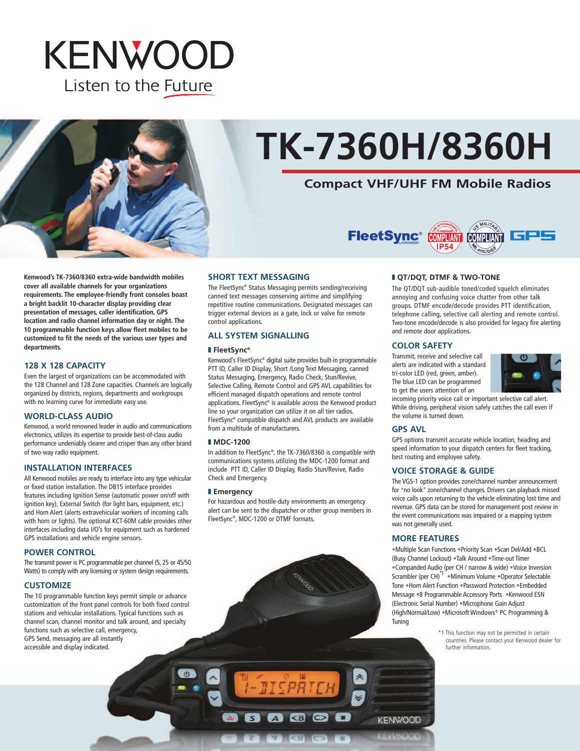## **KENWOOD** Listen to the Future



# **TK-7360H/8360H**

## **Compact VHF/UHF FM Mobile Radios**



**Kenwood's TK-7360/8360 extra-wide bandwidth mobiles cover all available channels for your organizations requirements. The employee-friendly front consoles boast a bright backlit 10-character display providing clear presentation of messages, caller identification, GPS location and radio channel information day or night. The 10 programmable function keys allow fleet mobiles to be customized to fit the needs of the various user types and departments.**

#### **128 X 128 CAPACITY**

Even the largest of organizations can be accommodated with the 128 Channel and 128 Zone capacities. Channels are logically organized by districts, regions, departments and workgroups with no learning curve for immediate easy use.

#### **WORLD-CLASS AUDIO**

Kenwood, a world renowned leader in audio and communications electronics, utilizes its expertise to provide best-of-class audio performance undeniably clearer and crisper than any other brand of two-way radio equipment.

#### **INSTALLATION INTERFACES**

All Kenwood mobiles are ready to interface into any type vehicular or fixed station installation. The DB15 interface provides features including Ignition Sense (automatic power on/off with ignition key), External Switch (for light bars, equipment, etc.) and Horn Alert (alerts extravehicular workers of incoming calls with horn or lights). The optional KCT-60M cable provides other interfaces including data I/O's for equipment such as hardened GPS installations and vehicle engine sensors.

#### **POWER CONTROL**

The transmit power is PC programmable per channel (5, 25 or 45/50 Watts) to comply with any licensing or system design requirements.

#### **CUSTOMIZE**

The 10 programmable function keys permit simple or advance customization of the front panel controls for both fixed control stations and vehicular installations. Typical functions such as channel scan, channel monitor and talk around, and specialty functions such as selective call, emergency, GPS Send, messaging are all instantly accessible and display indicated.

#### **SHORT TEXT MESSAGING**

The FleetSync ® Status Messaging permits sending/receiving canned text messages conserving airtime and simplifying repetitive routine communications. Designated messages can trigger external devices as a gate, lock or valve for remote control applications.

#### **ALL SYSTEM SIGNALLING**

#### **❚ FleetSync®**

Kenwood's FleetSync ® digital suite provides built-in programmable PTT ID, Caller ID Display, Short /Long Text Messaging, canned Status Messaging, Emergency, Radio Check, Stun/Revive, Selective Calling, Remote Control and GPS AVL capabilities for efficient managed dispatch operations and remote control applications. FleetSync ® is available across the Kenwood product line so your organization can utilize it on all tier radios. FleetSync ® compatible dispatch and AVL products are available from a multitude of manufacturers.

#### **❚ MDC-1200**

In addition to FleetSync®, the TK-7360/8360 is compatible with communications systems utilizing the MDC-1200 format and include PTT ID, Caller ID Display, Radio Stun/Revive, Radio Check and Emergency.

#### **❚ Emergency**

For hazardous and hostile-duty environments an emergency alert can be sent to the dispatcher or other group members in FleetSync®, MDC-1200 or DTMF formats.

*ALSPATE* 

**BO** 

#### **❚ QT/DQT, DTMF & TWO-TONE**

The QT/DQT sub-audible toned/coded squelch eliminates annoying and confusing voice chatter from other talk groups. DTMF encode/decode provides PTT identification, telephone calling, selective call alerting and remote control. Two-tone encode/decode is also provided for legacy fire alerting and remote door applications.

#### **COLOR SAFETY**

Transmit, receive and selective call alerts are indicated with a standard tri-color LED (red, green, amber). The blue LED can be programmed to get the users attention of an



incoming priority voice call or important selective call alert. While driving, peripheral vision safely catches the call even if the volume is turned down.

#### **GPS AVL**

GPS options transmit accurate vehicle location, heading and speed information to your dispatch centers for fleet tracking, best routing and employee safety.

#### **VOICE STORAGE & GUIDE**

The VGS-1 option provides zone/channel number announcement for "no look" zone/channel changes. Drivers can playback missed voice calls upon returning to the vehicle eliminating lost time and revenue. GPS data can be stored for management post review in the event communications was impaired or a mapping system was not generally used.

#### **MORE FEATURES**

**KENWOOD** 

•Multiple Scan Functions •Priority Scan •Scan Del/Add •BCL (Busy Channel Lockout) •Talk Around •Time-out Timer •Companded Audio (per CH / narrow & wide) •Voice Inversion Scrambler (per CH)<sup>-1</sup> •Minimum Volume •Operator Selectable Tone •Horn Alert Function •Password Protection •Embedded Message •8 Programmable Accessory Ports •Kenwood ESN (Electronic Serial Number) •Microphone Gain Adjust (High/Normal/Low) •Microsoft Windows® PC Programming & Tuning

> \*1 This function may not be permitted in certain countries. Please contact your Kenwood dealer for further information.